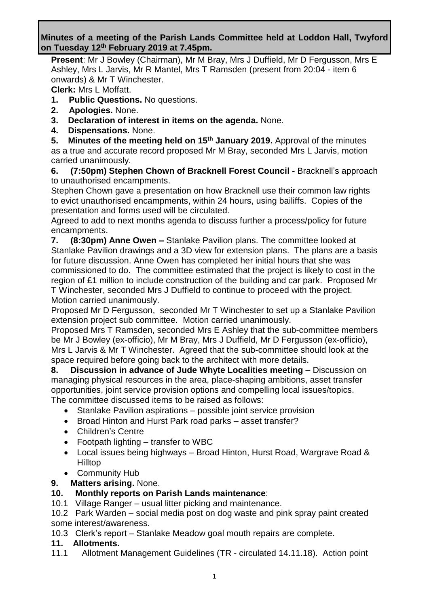#### **Minutes of a meeting of the Parish Lands Committee held at Loddon Hall, Twyford on Tuesday 12th February 2019 at 7.45pm.**

**Present**: Mr J Bowley (Chairman), Mr M Bray, Mrs J Duffield, Mr D Fergusson, Mrs E Ashley, Mrs L Jarvis, Mr R Mantel, Mrs T Ramsden (present from 20:04 - item 6 onwards) & Mr T Winchester.

**Clerk:** Mrs L Moffatt.

- **1. Public Questions.** No questions.
- **2. Apologies.** None.
- **3. Declaration of interest in items on the agenda.** None.
- **4. Dispensations.** None.

**5. Minutes of the meeting held on 15th January 2019.** Approval of the minutes as a true and accurate record proposed Mr M Bray, seconded Mrs L Jarvis, motion carried unanimously.

**6. (7:50pm) Stephen Chown of Bracknell Forest Council -** Bracknell's approach to unauthorised encampments.

Stephen Chown gave a presentation on how Bracknell use their common law rights to evict unauthorised encampments, within 24 hours, using bailiffs. Copies of the presentation and forms used will be circulated.

Agreed to add to next months agenda to discuss further a process/policy for future encampments.

**7. (8:30pm) Anne Owen –** Stanlake Pavilion plans. The committee looked at Stanlake Pavilion drawings and a 3D view for extension plans. The plans are a basis for future discussion. Anne Owen has completed her initial hours that she was commissioned to do. The committee estimated that the project is likely to cost in the region of £1 million to include construction of the building and car park. Proposed Mr T Winchester, seconded Mrs J Duffield to continue to proceed with the project.

Motion carried unanimously.

Proposed Mr D Fergusson, seconded Mr T Winchester to set up a Stanlake Pavilion extension project sub committee. Motion carried unanimously.

Proposed Mrs T Ramsden, seconded Mrs E Ashley that the sub-committee members be Mr J Bowley (ex-officio), Mr M Bray, Mrs J Duffield, Mr D Fergusson (ex-officio), Mrs L Jarvis & Mr T Winchester. Agreed that the sub-committee should look at the space required before going back to the architect with more details.

**8. Discussion in advance of Jude Whyte Localities meeting –** Discussion on managing physical resources in the area, place-shaping ambitions, asset transfer opportunities, joint service provision options and compelling local issues/topics. The committee discussed items to be raised as follows:

- Stanlake Pavilion aspirations possible joint service provision
- Broad Hinton and Hurst Park road parks asset transfer?
- Children's Centre
- Footpath lighting transfer to WBC
- Local issues being highways Broad Hinton, Hurst Road, Wargrave Road & Hilltop
- Community Hub
- **9. Matters arising.** None.

## **10. Monthly reports on Parish Lands maintenance**:

10.1 Village Ranger – usual litter picking and maintenance.

10.2 Park Warden – social media post on dog waste and pink spray paint created some interest/awareness.

10.3 Clerk's report – Stanlake Meadow goal mouth repairs are complete.

## **11. Allotments.**

11.1 Allotment Management Guidelines (TR - circulated 14.11.18). Action point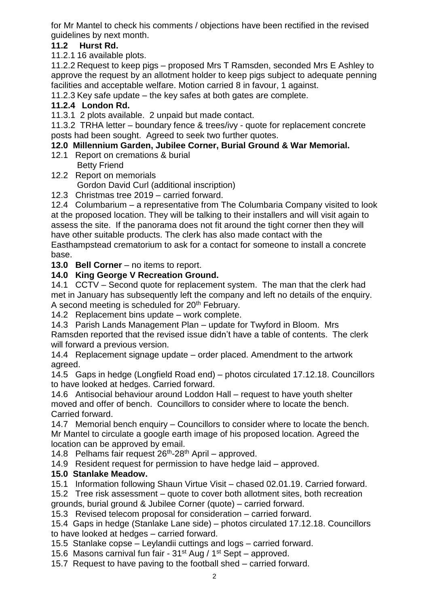for Mr Mantel to check his comments / objections have been rectified in the revised guidelines by next month.

# **11.2 Hurst Rd.**

11.2.1 16 available plots.

11.2.2 Request to keep pigs – proposed Mrs T Ramsden, seconded Mrs E Ashley to approve the request by an allotment holder to keep pigs subject to adequate penning facilities and acceptable welfare. Motion carried 8 in favour, 1 against.

11.2.3 Key safe update – the key safes at both gates are complete.

## **11.2.4 London Rd.**

11.3.1 2 plots available. 2 unpaid but made contact.

11.3.2 TRHA letter – boundary fence & trees/ivy - quote for replacement concrete posts had been sought. Agreed to seek two further quotes.

### **12.0 Millennium Garden, Jubilee Corner, Burial Ground & War Memorial.**

- 12.1 Report on cremations & burial Betty Friend
- 12.2 Report on memorials Gordon David Curl (additional inscription)
- 12.3 Christmas tree 2019 carried forward.

12.4 Columbarium – a representative from The Columbaria Company visited to look at the proposed location. They will be talking to their installers and will visit again to assess the site. If the panorama does not fit around the tight corner then they will have other suitable products. The clerk has also made contact with the Easthampstead crematorium to ask for a contact for someone to install a concrete base.

**13.0 Bell Corner** – no items to report.

## **14.0 King George V Recreation Ground.**

14.1 CCTV – Second quote for replacement system. The man that the clerk had met in January has subsequently left the company and left no details of the enquiry. A second meeting is scheduled for 20<sup>th</sup> February.

14.2 Replacement bins update – work complete.

14.3 Parish Lands Management Plan – update for Twyford in Bloom. Mrs Ramsden reported that the revised issue didn't have a table of contents. The clerk will forward a previous version.

14.4 Replacement signage update – order placed. Amendment to the artwork agreed.

14.5 Gaps in hedge (Longfield Road end) – photos circulated 17.12.18. Councillors to have looked at hedges. Carried forward.

14.6 Antisocial behaviour around Loddon Hall – request to have youth shelter moved and offer of bench. Councillors to consider where to locate the bench. Carried forward.

14.7 Memorial bench enquiry – Councillors to consider where to locate the bench. Mr Mantel to circulate a google earth image of his proposed location. Agreed the location can be approved by email.

14.8 Pelhams fair request 26<sup>th</sup>-28<sup>th</sup> April - approved.

14.9 Resident request for permission to have hedge laid – approved.

## **15.0 Stanlake Meadow.**

15.1 Information following Shaun Virtue Visit – chased 02.01.19. Carried forward.

15.2 Tree risk assessment – quote to cover both allotment sites, both recreation grounds, burial ground & Jubilee Corner (quote) – carried forward.

15.3 Revised telecom proposal for consideration – carried forward.

15.4 Gaps in hedge (Stanlake Lane side) – photos circulated 17.12.18. Councillors to have looked at hedges – carried forward.

15.5 Stanlake copse – Leylandii cuttings and logs – carried forward.

15.6 Masons carnival fun fair - 31<sup>st</sup> Aug / 1<sup>st</sup> Sept – approved.

15.7 Request to have paving to the football shed – carried forward.